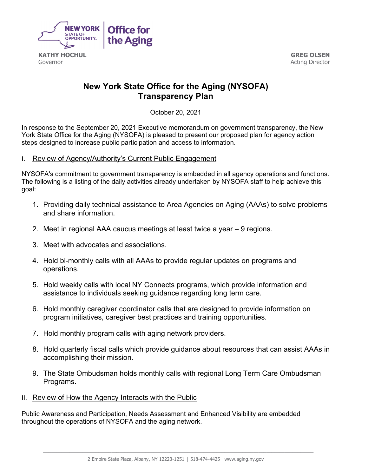

Governor

**GREG OLSEN**  Acting Director

# **New York State Office for the Aging (NYSOFA) Transparency Plan**

October 20, 2021

In response to the September 20, 2021 Executive memorandum on government transparency, the New York State Office for the Aging (NYSOFA) is pleased to present our proposed plan for agency action steps designed to increase public participation and access to information.

#### I. Review of Agency/Authority's Current Public Engagement

NYSOFA's commitment to government transparency is embedded in all agency operations and functions. The following is a listing of the daily activities already undertaken by NYSOFA staff to help achieve this goal:

- 1. Providing daily technical assistance to Area Agencies on Aging (AAAs) to solve problems and share information.
- 2. Meet in regional AAA caucus meetings at least twice a year 9 regions.
- 3. Meet with advocates and associations.
- 4. Hold bi-monthly calls with all AAAs to provide regular updates on programs and operations.
- 5. Hold weekly calls with local NY Connects programs, which provide information and assistance to individuals seeking guidance regarding long term care.
- 6. Hold monthly caregiver coordinator calls that are designed to provide information on program initiatives, caregiver best practices and training opportunities.
- 7. Hold monthly program calls with aging network providers.
- 8. Hold quarterly fiscal calls which provide guidance about resources that can assist AAAs in accomplishing their mission.
- 9. The State Ombudsman holds monthly calls with regional Long Term Care Ombudsman Programs.
- II. Review of How the Agency Interacts with the Public

Public Awareness and Participation, Needs Assessment and Enhanced Visibility are embedded throughout the operations of NYSOFA and the aging network.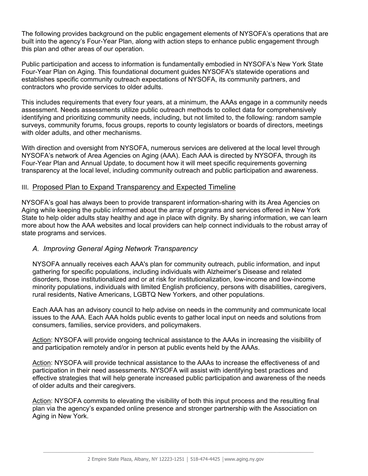The following provides background on the public engagement elements of NYSOFA's operations that are built into the agency's Four-Year Plan, along with action steps to enhance public engagement through this plan and other areas of our operation.

Public participation and access to information is fundamentally embodied in NYSOFA's New York State Four-Year Plan on Aging. This foundational document guides NYSOFA's statewide operations and establishes specific community outreach expectations of NYSOFA, its community partners, and contractors who provide services to older adults.

This includes requirements that every four years, at a minimum, the AAAs engage in a community needs assessment. Needs assessments utilize public outreach methods to collect data for comprehensively identifying and prioritizing community needs, including, but not limited to, the following: random sample surveys, community forums, focus groups, reports to county legislators or boards of directors, meetings with older adults, and other mechanisms.

With direction and oversight from NYSOFA, numerous services are delivered at the local level through NYSOFA's network of Area Agencies on Aging (AAA). Each AAA is directed by NYSOFA, through its Four-Year Plan and Annual Update, to document how it will meet specific requirements governing transparency at the local level, including community outreach and public participation and awareness.

## III. Proposed Plan to Expand Transparency and Expected Timeline

NYSOFA's goal has always been to provide transparent information-sharing with its Area Agencies on Aging while keeping the public informed about the array of programs and services offered in New York State to help older adults stay healthy and age in place with dignity. By sharing information, we can learn more about how the AAA websites and local providers can help connect individuals to the robust array of state programs and services.

#### *A. Improving General Aging Network Transparency*

NYSOFA annually receives each AAA's plan for community outreach, public information, and input gathering for specific populations, including individuals with Alzheimer's Disease and related disorders, those institutionalized and or at risk for institutionalization, low-income and low-income minority populations, individuals with limited English proficiency, persons with disabilities, caregivers, rural residents, Native Americans, LGBTQ New Yorkers, and other populations.

Each AAA has an advisory council to help advise on needs in the community and communicate local issues to the AAA. Each AAA holds public events to gather local input on needs and solutions from consumers, families, service providers, and policymakers.

Action: NYSOFA will provide ongoing technical assistance to the AAAs in increasing the visibility of and participation remotely and/or in person at public events held by the AAAs.

Action: NYSOFA will provide technical assistance to the AAAs to increase the effectiveness of and participation in their need assessments. NYSOFA will assist with identifying best practices and effective strategies that will help generate increased public participation and awareness of the needs of older adults and their caregivers.

Action: NYSOFA commits to elevating the visibility of both this input process and the resulting final plan via the agency's expanded online presence and stronger partnership with the Association on Aging in New York.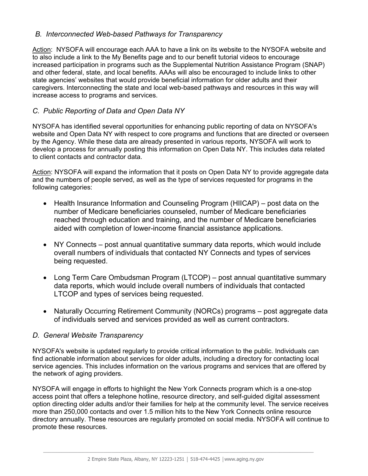# *B. Interconnected Web-based Pathways for Transparency*

Action: NYSOFA will encourage each AAA to have a link on its website to the NYSOFA website and to also include a link to the My Benefits page and to our benefit tutorial videos to encourage increased participation in programs such as the Supplemental Nutrition Assistance Program (SNAP) and other federal, state, and local benefits. AAAs will also be encouraged to include links to other state agencies' websites that would provide beneficial information for older adults and their caregivers. Interconnecting the state and local web-based pathways and resources in this way will increase access to programs and services.

# *C. Public Reporting of Data and Open Data NY*

NYSOFA has identified several opportunities for enhancing public reporting of data on NYSOFA's website and Open Data NY with respect to core programs and functions that are directed or overseen by the Agency. While these data are already presented in various reports, NYSOFA will work to develop a process for annually posting this information on Open Data NY. This includes data related to client contacts and contractor data.

Action: NYSOFA will expand the information that it posts on Open Data NY to provide aggregate data and the numbers of people served, as well as the type of services requested for programs in the following categories:

- Health Insurance Information and Counseling Program (HIICAP) post data on the number of Medicare beneficiaries counseled, number of Medicare beneficiaries reached through education and training, and the number of Medicare beneficiaries aided with completion of lower-income financial assistance applications.
- NY Connects post annual quantitative summary data reports, which would include overall numbers of individuals that contacted NY Connects and types of services being requested.
- Long Term Care Ombudsman Program (LTCOP) post annual quantitative summary data reports, which would include overall numbers of individuals that contacted LTCOP and types of services being requested.
- Naturally Occurring Retirement Community (NORCs) programs post aggregate data of individuals served and services provided as well as current contractors.

## *D. General Website Transparency*

NYSOFA's website is updated regularly to provide critical information to the public. Individuals can find actionable information about services for older adults, including a directory for contacting local service agencies. This includes information on the various programs and services that are offered by the network of aging providers.

NYSOFA will engage in efforts to highlight the New York Connects program which is a one-stop access point that offers a telephone hotline, resource directory, and self-guided digital assessment option directing older adults and/or their families for help at the community level. The service receives more than 250,000 contacts and over 1.5 million hits to the New York Connects online resource directory annually. These resources are regularly promoted on social media. NYSOFA will continue to promote these resources.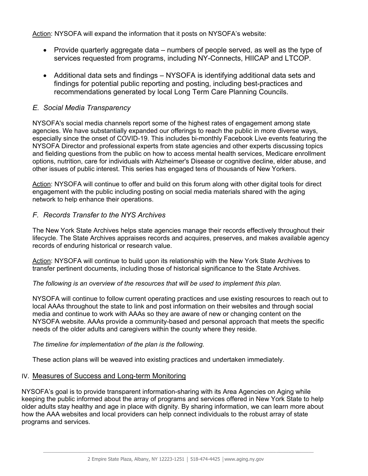Action: NYSOFA will expand the information that it posts on NYSOFA's website:

- Provide quarterly aggregate data numbers of people served, as well as the type of services requested from programs, including NY-Connects, HIICAP and LTCOP.
- Additional data sets and findings NYSOFA is identifying additional data sets and findings for potential public reporting and posting, including best-practices and recommendations generated by local Long Term Care Planning Councils.

# *E. Social Media Transparency*

NYSOFA's social media channels report some of the highest rates of engagement among state agencies. We have substantially expanded our offerings to reach the public in more diverse ways, especially since the onset of COVID-19. This includes bi-monthly Facebook Live events featuring the NYSOFA Director and professional experts from state agencies and other experts discussing topics and fielding questions from the public on how to access mental health services, Medicare enrollment options, nutrition, care for individuals with Alzheimer's Disease or cognitive decline, elder abuse, and other issues of public interest. This series has engaged tens of thousands of New Yorkers.

Action: NYSOFA will continue to offer and build on this forum along with other digital tools for direct engagement with the public including posting on social media materials shared with the aging network to help enhance their operations.

# *F. Records Transfer to the NYS Archives*

The New York State Archives helps state agencies manage their records effectively throughout their lifecycle. The State Archives appraises records and acquires, preserves, and makes available agency records of enduring historical or research value.

Action: NYSOFA will continue to build upon its relationship with the New York State Archives to transfer pertinent documents, including those of historical significance to the State Archives.

*The following is an overview of the resources that will be used to implement this plan.* 

NYSOFA will continue to follow current operating practices and use existing resources to reach out to local AAAs throughout the state to link and post information on their websites and through social media and continue to work with AAAs so they are aware of new or changing content on the NYSOFA website. AAAs provide a community-based and personal approach that meets the specific needs of the older adults and caregivers within the county where they reside.

#### *The timeline for implementation of the plan is the following.*

These action plans will be weaved into existing practices and undertaken immediately.

## IV. Measures of Success and Long-term Monitoring

NYSOFA's goal is to provide transparent information-sharing with its Area Agencies on Aging while keeping the public informed about the array of programs and services offered in New York State to help older adults stay healthy and age in place with dignity. By sharing information, we can learn more about how the AAA websites and local providers can help connect individuals to the robust array of state programs and services.